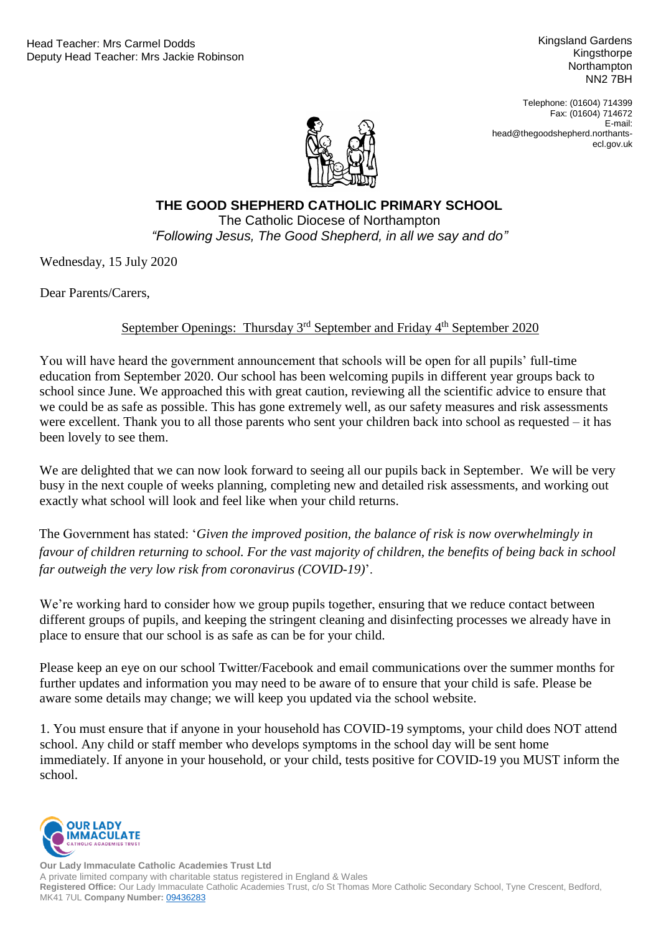Kingsland Gardens Kingsthorpe **Northampton** NN2 7BH

Telephone: (01604) 714399 Fax: (01604) 714672 E-mail: head@thegoodshepherd.northantsecl.gov.uk



## Catholic Diocese of Northampton *"Following Jesus, The Good Shepherd, in all we say and do"***THE GOOD SHEPHERD CATHOLIC PRIMARY SCHOOL** The Catholic Diocese of Northampton

Wednesday, 15 July 2020

Dear Parents/Carers,

## September Openings: Thursday  $3<sup>rd</sup>$  September and Friday  $4<sup>th</sup>$  September 2020

You will have heard the government announcement that schools will be open for all pupils' full-time education from September 2020. Our school has been welcoming pupils in different year groups back to school since June. We approached this with great caution, reviewing all the scientific advice to ensure that we could be as safe as possible. This has gone extremely well, as our safety measures and risk assessments were excellent. Thank you to all those parents who sent your children back into school as requested – it has been lovely to see them.

We are delighted that we can now look forward to seeing all our pupils back in September. We will be very busy in the next couple of weeks planning, completing new and detailed risk assessments, and working out exactly what school will look and feel like when your child returns.

The Government has stated: '*Given the improved position, the balance of risk is now overwhelmingly in favour of children returning to school. For the vast majority of children, the benefits of being back in school far outweigh the very low risk from coronavirus (COVID-19)*'.

We're working hard to consider how we group pupils together, ensuring that we reduce contact between different groups of pupils, and keeping the stringent cleaning and disinfecting processes we already have in place to ensure that our school is as safe as can be for your child.

Please keep an eye on our school Twitter/Facebook and email communications over the summer months for further updates and information you may need to be aware of to ensure that your child is safe. Please be aware some details may change; we will keep you updated via the school website.

1. You must ensure that if anyone in your household has COVID-19 symptoms, your child does NOT attend school. Any child or staff member who develops symptoms in the school day will be sent home immediately. If anyone in your household, or your child, tests positive for COVID-19 you MUST inform the school.

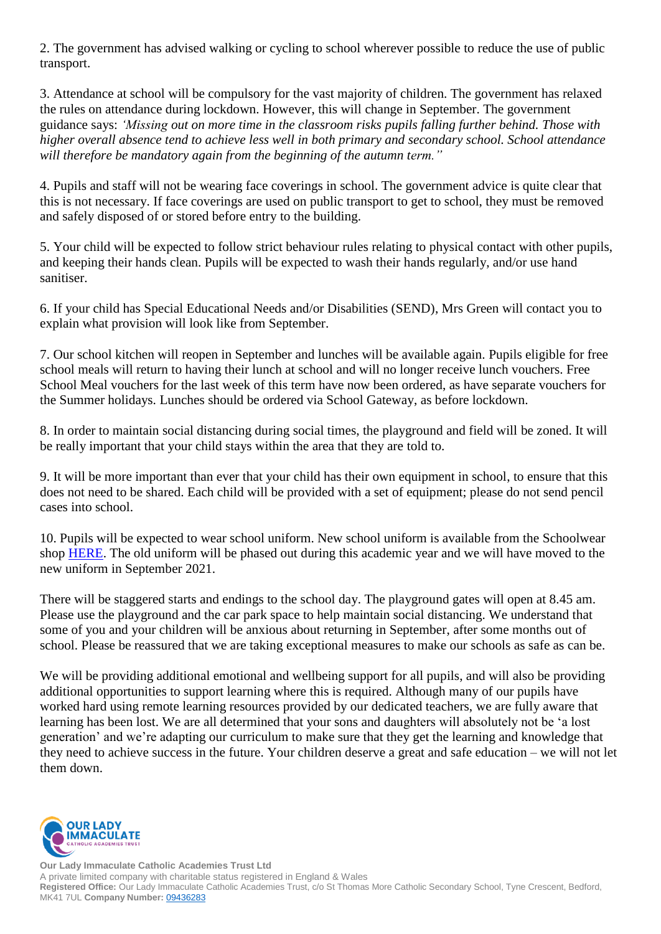2. The government has advised walking or cycling to school wherever possible to reduce the use of public transport.

3. Attendance at school will be compulsory for the vast majority of children. The government has relaxed the rules on attendance during lockdown. However, this will change in September. The government guidance says: *'Missing out on more time in the classroom risks pupils falling further behind. Those with higher overall absence tend to achieve less well in both primary and secondary school. School attendance will therefore be mandatory again from the beginning of the autumn term."*

4. Pupils and staff will not be wearing face coverings in school. The government advice is quite clear that this is not necessary. If face coverings are used on public transport to get to school, they must be removed and safely disposed of or stored before entry to the building.

5. Your child will be expected to follow strict behaviour rules relating to physical contact with other pupils, and keeping their hands clean. Pupils will be expected to wash their hands regularly, and/or use hand sanitiser.

6. If your child has Special Educational Needs and/or Disabilities (SEND), Mrs Green will contact you to explain what provision will look like from September.

7. Our school kitchen will reopen in September and lunches will be available again. Pupils eligible for free school meals will return to having their lunch at school and will no longer receive lunch vouchers. Free School Meal vouchers for the last week of this term have now been ordered, as have separate vouchers for the Summer holidays. Lunches should be ordered via School Gateway, as before lockdown.

8. In order to maintain social distancing during social times, the playground and field will be zoned. It will be really important that your child stays within the area that they are told to.

9. It will be more important than ever that your child has their own equipment in school, to ensure that this does not need to be shared. Each child will be provided with a set of equipment; please do not send pencil cases into school.

10. Pupils will be expected to wear school uniform. New school uniform is available from the Schoolwear shop [HERE.](https://theschoolwearshop.net/schools-en/good-shepherd-catholic-primary-school/) The old uniform will be phased out during this academic year and we will have moved to the new uniform in September 2021.

There will be staggered starts and endings to the school day. The playground gates will open at 8.45 am. Please use the playground and the car park space to help maintain social distancing. We understand that some of you and your children will be anxious about returning in September, after some months out of school. Please be reassured that we are taking exceptional measures to make our schools as safe as can be.

We will be providing additional emotional and wellbeing support for all pupils, and will also be providing additional opportunities to support learning where this is required. Although many of our pupils have worked hard using remote learning resources provided by our dedicated teachers, we are fully aware that learning has been lost. We are all determined that your sons and daughters will absolutely not be 'a lost generation' and we're adapting our curriculum to make sure that they get the learning and knowledge that they need to achieve success in the future. Your children deserve a great and safe education – we will not let them down.

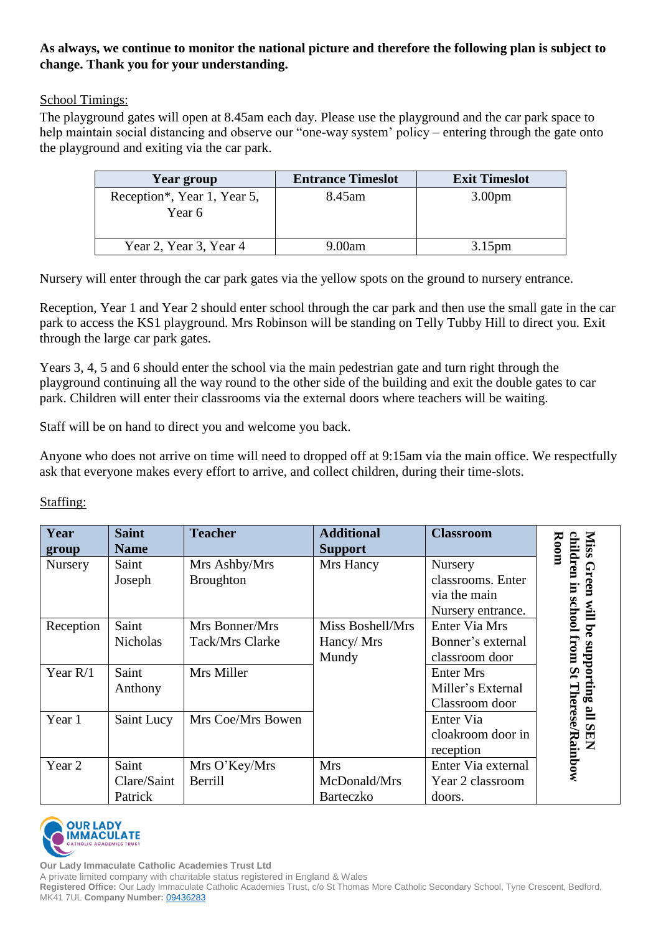## **As always, we continue to monitor the national picture and therefore the following plan is subject to change. Thank you for your understanding.**

## School Timings:

The playground gates will open at 8.45am each day. Please use the playground and the car park space to help maintain social distancing and observe our "one-way system' policy – entering through the gate onto the playground and exiting via the car park.

| Year group                            | <b>Entrance Timeslot</b> | <b>Exit Timeslot</b> |
|---------------------------------------|--------------------------|----------------------|
| Reception*, Year 1, Year 5,<br>Year 6 | 8.45 am                  | 3.00 <sub>pm</sub>   |
| Year 2, Year 3, Year 4                | 9.00am                   | 3.15 <sub>pm</sub>   |

Nursery will enter through the car park gates via the yellow spots on the ground to nursery entrance.

Reception, Year 1 and Year 2 should enter school through the car park and then use the small gate in the car park to access the KS1 playground. Mrs Robinson will be standing on Telly Tubby Hill to direct you. Exit through the large car park gates.

Years 3, 4, 5 and 6 should enter the school via the main pedestrian gate and turn right through the playground continuing all the way round to the other side of the building and exit the double gates to car park. Children will enter their classrooms via the external doors where teachers will be waiting.

Staff will be on hand to direct you and welcome you back.

Anyone who does not arrive on time will need to dropped off at 9:15am via the main office. We respectfully ask that everyone makes every effort to arrive, and collect children, during their time-slots.

| Year<br>group | <b>Saint</b><br><b>Name</b>     | <b>Teacher</b>                    | <b>Additional</b><br><b>Support</b>            | <b>Classroom</b>                                                  | Room<br>children                              |
|---------------|---------------------------------|-----------------------------------|------------------------------------------------|-------------------------------------------------------------------|-----------------------------------------------|
| Nursery       | Saint<br>Joseph                 | Mrs Ashby/Mrs<br>Broughton        | Mrs Hancy                                      | Nursery<br>classrooms. Enter<br>via the main<br>Nursery entrance. | Green<br>E<br><b>school</b><br>ШM             |
| Reception     | Saint<br><b>Nicholas</b>        | Mrs Bonner/Mrs<br>Tack/Mrs Clarke | Miss Boshell/Mrs<br>Hancy/Mrs<br>Mundy         | Enter Via Mrs<br>Bonner's external<br>classroom door              | from<br>anbbor                                |
| Year $R/1$    | Saint<br>Anthony                | Mrs Miller                        |                                                | <b>Enter Mrs</b><br>Miller's External<br>Classroom door           | $\mathbf{S}$<br>$\frac{3}{2}$                 |
| Year 1        | Saint Lucy                      | Mrs Coe/Mrs Bowen                 |                                                | Enter Via<br>cloakroom door in<br>reception                       | Therese/Rainbow<br>$\mathbf{E}$<br><b>SEN</b> |
| Year 2        | Saint<br>Clare/Saint<br>Patrick | Mrs O'Key/Mrs<br>Berrill          | <b>Mrs</b><br>McDonald/Mrs<br><b>Barteczko</b> | Enter Via external<br>Year 2 classroom<br>doors.                  |                                               |

Staffing: